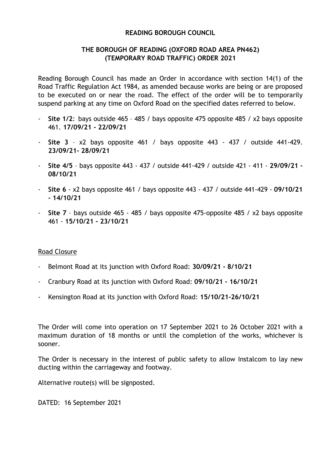## **READING BOROUGH COUNCIL**

## **THE BOROUGH OF READING (OXFORD ROAD AREA PN462) (TEMPORARY ROAD TRAFFIC) ORDER 2021**

Reading Borough Council has made an Order in accordance with section 14(1) of the Road Traffic Regulation Act 1984, as amended because works are being or are proposed to be executed on or near the road. The effect of the order will be to temporarily suspend parking at any time on Oxford Road on the specified dates referred to below.

- Site 1/2: bays outside 465 485 / bays opposite 475 opposite 485 / x2 bays opposite 461. **17/09/21 - 22/09/21**
- **Site 3** x2 bays opposite 461 / bays opposite 443 437 / outside 441-429. **23/09/21- 28/09/21**
- **Site 4/5** bays opposite 443 437 / outside 441-429 / outside 421 411 **29/09/21 - 08/10/21**
- **Site 6** x2 bays opposite 461 / bays opposite 443 437 / outside 441-429 **09/10/21 - 14/10/21**
- **Site 7** bays outside 465 485 / bays opposite 475-opposite 485 / x2 bays opposite 461 - **15/10/21 - 23/10/21**

## Road Closure

- Belmont Road at its junction with Oxford Road: **30/09/21 - 8/10/21**
- Cranbury Road at its junction with Oxford Road: **09/10/21 - 16/10/21**
- Kensington Road at its junction with Oxford Road: **15/10/21-26/10/21**

The Order will come into operation on 17 September 2021 to 26 October 2021 with a maximum duration of 18 months or until the completion of the works, whichever is sooner.

The Order is necessary in the interest of public safety to allow Instalcom to lay new ducting within the carriageway and footway.

Alternative route(s) will be signposted.

DATED: 16 September 2021